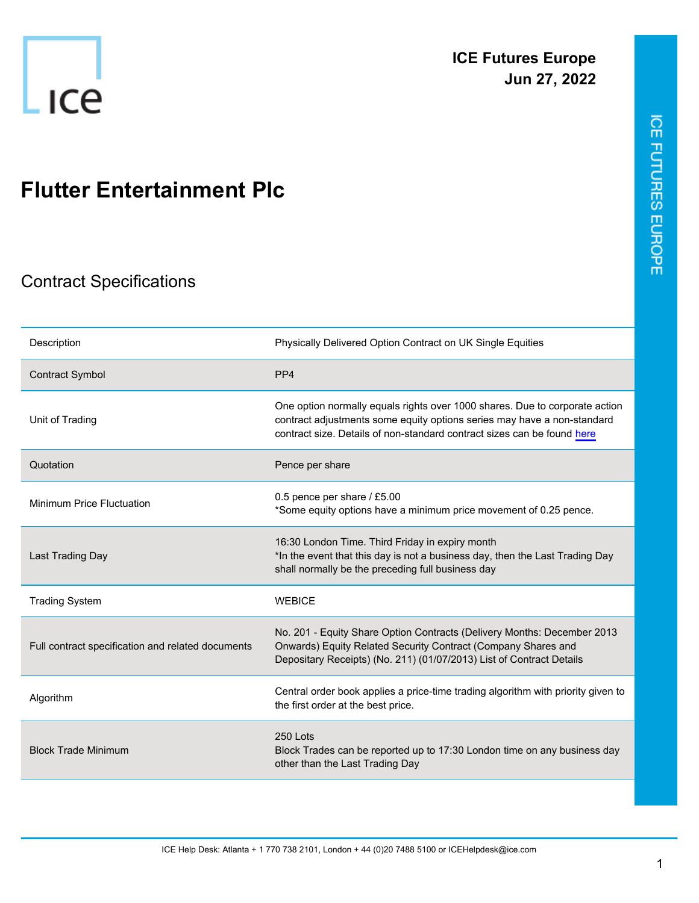

## **Flutter Entertainment Plc**

## Contract Specifications

| Description                                       | Physically Delivered Option Contract on UK Single Equities                                                                                                                                                                        |
|---------------------------------------------------|-----------------------------------------------------------------------------------------------------------------------------------------------------------------------------------------------------------------------------------|
| <b>Contract Symbol</b>                            | PP <sub>4</sub>                                                                                                                                                                                                                   |
| Unit of Trading                                   | One option normally equals rights over 1000 shares. Due to corporate action<br>contract adjustments some equity options series may have a non-standard<br>contract size. Details of non-standard contract sizes can be found here |
| Quotation                                         | Pence per share                                                                                                                                                                                                                   |
| <b>Minimum Price Fluctuation</b>                  | 0.5 pence per share / £5.00<br>*Some equity options have a minimum price movement of 0.25 pence.                                                                                                                                  |
| Last Trading Day                                  | 16:30 London Time. Third Friday in expiry month<br>*In the event that this day is not a business day, then the Last Trading Day<br>shall normally be the preceding full business day                                              |
| <b>Trading System</b>                             | <b>WEBICE</b>                                                                                                                                                                                                                     |
| Full contract specification and related documents | No. 201 - Equity Share Option Contracts (Delivery Months: December 2013<br>Onwards) Equity Related Security Contract (Company Shares and<br>Depositary Receipts) (No. 211) (01/07/2013) List of Contract Details                  |
| Algorithm                                         | Central order book applies a price-time trading algorithm with priority given to<br>the first order at the best price.                                                                                                            |
| <b>Block Trade Minimum</b>                        | 250 Lots<br>Block Trades can be reported up to 17:30 London time on any business day<br>other than the Last Trading Day                                                                                                           |